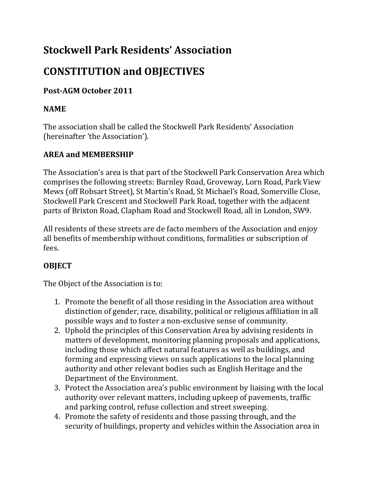## **Stockwell Park Residents' Association**

# **CONSTITUTION and OBJECTIVES**

## **Post-AGM October 2011**

### **NAME**

The association shall be called the Stockwell Park Residents' Association (hereinafter 'the Association').

## **AREA and MEMBERSHIP**

The Association's area is that part of the Stockwell Park Conservation Area which comprises the following streets: Burnley Road, Groveway, Lorn Road, Park View Mews (off Robsart Street), St Martin's Road, St Michael's Road, Somerville Close, Stockwell Park Crescent and Stockwell Park Road, together with the adjacent parts of Brixton Road, Clapham Road and Stockwell Road, all in London, SW9.

All residents of these streets are de facto members of the Association and enjoy all benefits of membership without conditions, formalities or subscription of fees.

## **OBJECT**

The Object of the Association is to:

- 1. Promote the benefit of all those residing in the Association area without distinction of gender, race, disability, political or religious affiliation in all possible ways and to foster a non-exclusive sense of community.
- 2. Uphold the principles of this Conservation Area by advising residents in matters of development, monitoring planning proposals and applications, including those which affect natural features as well as buildings, and forming and expressing views on such applications to the local planning authority and other relevant bodies such as English Heritage and the Department of the Environment.
- 3. Protect the Association area's public environment by liaising with the local authority over relevant matters, including upkeep of pavements, traffic and parking control, refuse collection and street sweeping.
- 4. Promote the safety of residents and those passing through, and the security of buildings, property and vehicles within the Association area in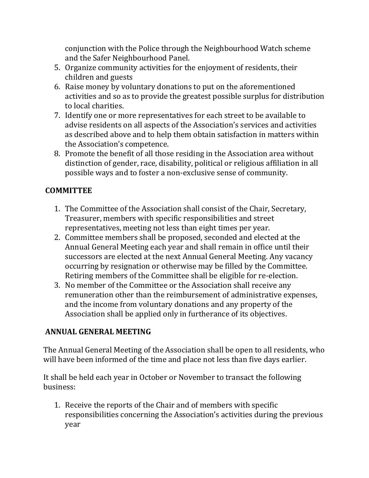conjunction with the Police through the Neighbourhood Watch scheme and the Safer Neighbourhood Panel.

- 5. Organize community activities for the enjoyment of residents, their children and guests
- 6. Raise money by voluntary donations to put on the aforementioned activities and so as to provide the greatest possible surplus for distribution to local charities.
- 7. Identify one or more representatives for each street to be available to advise residents on all aspects of the Association's services and activities as described above and to help them obtain satisfaction in matters within the Association's competence.
- 8. Promote the benefit of all those residing in the Association area without distinction of gender, race, disability, political or religious affiliation in all possible ways and to foster a non-exclusive sense of community.

#### **COMMITTEE**

- 1. The Committee of the Association shall consist of the Chair, Secretary, Treasurer, members with specific responsibilities and street representatives, meeting not less than eight times per year.
- 2. Committee members shall be proposed, seconded and elected at the Annual General Meeting each year and shall remain in office until their successors are elected at the next Annual General Meeting. Any vacancy occurring by resignation or otherwise may be filled by the Committee. Retiring members of the Committee shall be eligible for re-election.
- 3. No member of the Committee or the Association shall receive any remuneration other than the reimbursement of administrative expenses, and the income from voluntary donations and any property of the Association shall be applied only in furtherance of its objectives.

#### **ANNUAL GENERAL MEETING**

The Annual General Meeting of the Association shall be open to all residents, who will have been informed of the time and place not less than five days earlier.

It shall be held each year in October or November to transact the following business:

1. Receive the reports of the Chair and of members with specific responsibilities concerning the Association's activities during the previous year